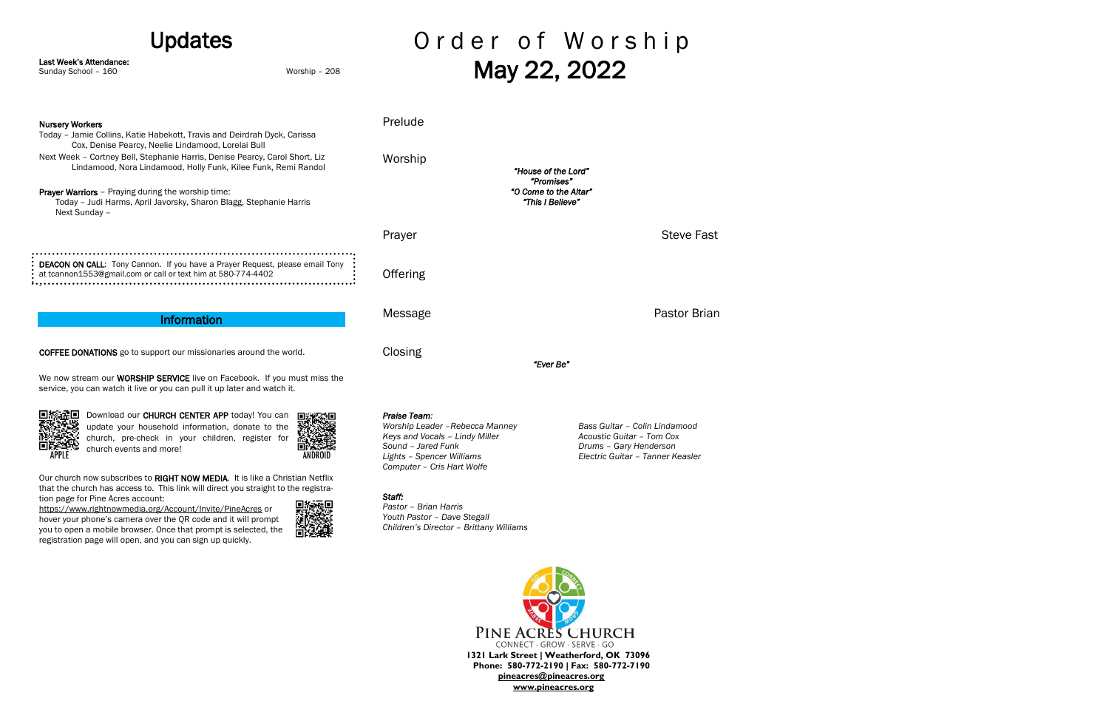Our church now subscribes to RIGHT NOW MEDIA. It is like a Christian Netflix that the church has access to. This link will direct you straight to the registration page for Pine Acres account:

> PINE ACRES CHURCH CONNECT · GROW · SERVE · GO **1321 Lark Street | Weatherford, OK 73096 Phone: 580-772-2190 | Fax: 580-772-7190 [pineacres@pineacres.org](mailto:pineacres@pineacres.org) [www.pineacres.org](http://www.pineacres.org/)**

| <b>Updates</b>                                                                                                                                                                                      |               |                                                                                                                                      | Order of Worship                                                                                                         |  |
|-----------------------------------------------------------------------------------------------------------------------------------------------------------------------------------------------------|---------------|--------------------------------------------------------------------------------------------------------------------------------------|--------------------------------------------------------------------------------------------------------------------------|--|
| Last Week's Attendance:<br>Sunday School - 160                                                                                                                                                      | Worship - 208 |                                                                                                                                      | May 22, 2022                                                                                                             |  |
| <b>Nursery Workers</b><br>Today - Jamie Collins, Katie Habekott, Travis and Deirdrah Dyck, Carissa                                                                                                  |               | Prelude                                                                                                                              |                                                                                                                          |  |
| Cox, Denise Pearcy, Neelie Lindamood, Lorelai Bull<br>Next Week - Cortney Bell, Stephanie Harris, Denise Pearcy, Carol Short, Liz<br>Lindamood, Nora Lindamood, Holly Funk, Kilee Funk, Remi Randol |               | Worship                                                                                                                              | "House of the Lord"                                                                                                      |  |
| Prayer Warriors - Praying during the worship time:<br>Today - Judi Harms, April Javorsky, Sharon Blagg, Stephanie Harris<br>Next Sunday -                                                           |               |                                                                                                                                      | "Promises"<br>"O Come to the Altar"<br>"This I Believe"                                                                  |  |
|                                                                                                                                                                                                     |               | Prayer                                                                                                                               | <b>Steve Fast</b>                                                                                                        |  |
| DEACON ON CALL: Tony Cannon. If you have a Prayer Request, please email Tony<br>at tcannon1553@gmail.com or call or text him at 580-774-4402                                                        |               | Offering                                                                                                                             |                                                                                                                          |  |
| <b>Information</b>                                                                                                                                                                                  |               | Message                                                                                                                              | Pastor Brian                                                                                                             |  |
| <b>COFFEE DONATIONS</b> go to support our missionaries around the world.                                                                                                                            |               | Closing                                                                                                                              | "Ever Be"                                                                                                                |  |
| We now stream our WORSHIP SERVICE live on Facebook. If you must miss the<br>service, you can watch it live or you can pull it up later and watch it.                                                |               |                                                                                                                                      |                                                                                                                          |  |
| Download our CHURCH CENTER APP today! You can<br>update your household information, donate to the<br>church, pre-check in your children, register for<br>church events and more!<br>ANDROID         |               | Praise Team:<br>Worship Leader - Rebecca Manney<br>Keys and Vocals - Lindy Miller<br>Sound - Jared Funk<br>Lights - Spencer Williams | Bass Guitar - Colin Lindamood<br>Acoustic Guitar - Tom Cox<br>Drums - Gary Henderson<br>Electric Guitar - Tanner Keasler |  |

<https://www.rightnowmedia.org/Account/Invite/PineAcres> or hover your phone's camera over the QR code and it will prompt you to open a mobile browser. Once that prompt is selected, the registration page will open, and you can sign up quickly.



# *Lights – Spencer Williams Electric Guitar – Tanner Keasler*

*Computer – Cris Hart Wolfe*

*Staff:* 

*Pastor – Brian Harris Youth Pastor – Dave Stegall*

*Children's Director – Brittany Williams*